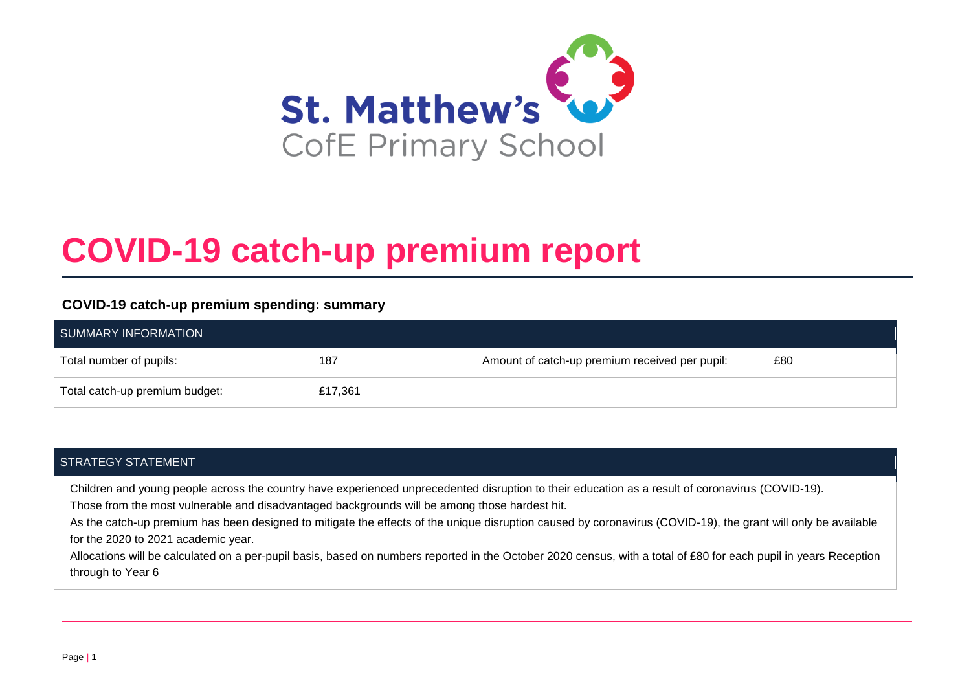

# **COVID-19 catch-up premium report**

### **COVID-19 catch-up premium spending: summary**

| SUMMARY INFORMATION            |         |                                                |     |
|--------------------------------|---------|------------------------------------------------|-----|
| Total number of pupils:        | 187     | Amount of catch-up premium received per pupil: | £80 |
| Total catch-up premium budget: | £17,361 |                                                |     |

### STRATEGY STATEMENT

Children and young people across the country have experienced unprecedented disruption to their education as a result of coronavirus (COVID-19).

Those from the most vulnerable and disadvantaged backgrounds will be among those hardest hit.

As the catch-up premium has been designed to mitigate the effects of the unique disruption caused by coronavirus (COVID-19), the grant will only be available for the 2020 to 2021 academic year.

Allocations will be calculated on a per-pupil basis, based on numbers reported in the October 2020 census, with a total of £80 for each pupil in years Reception through to Year 6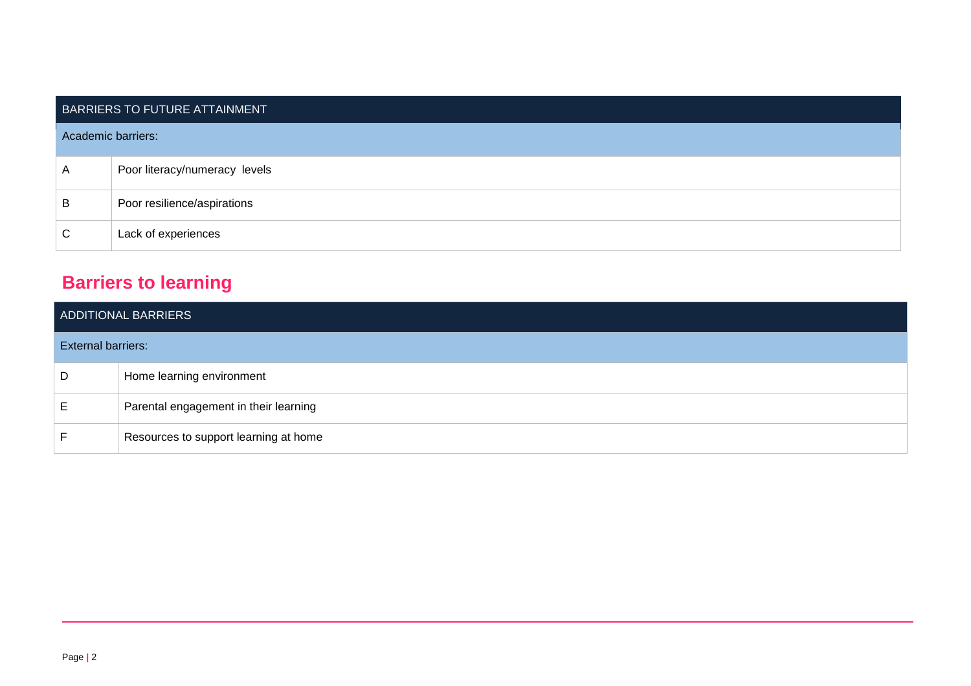|                    | BARRIERS TO FUTURE ATTAINMENT |
|--------------------|-------------------------------|
| Academic barriers: |                               |
| A                  | Poor literacy/numeracy levels |
| B                  | Poor resilience/aspirations   |
| С                  | Lack of experiences           |

# **Barriers to learning**

|                           | ADDITIONAL BARRIERS                   |
|---------------------------|---------------------------------------|
| <b>External barriers:</b> |                                       |
| D                         | Home learning environment             |
| E.                        | Parental engagement in their learning |
|                           | Resources to support learning at home |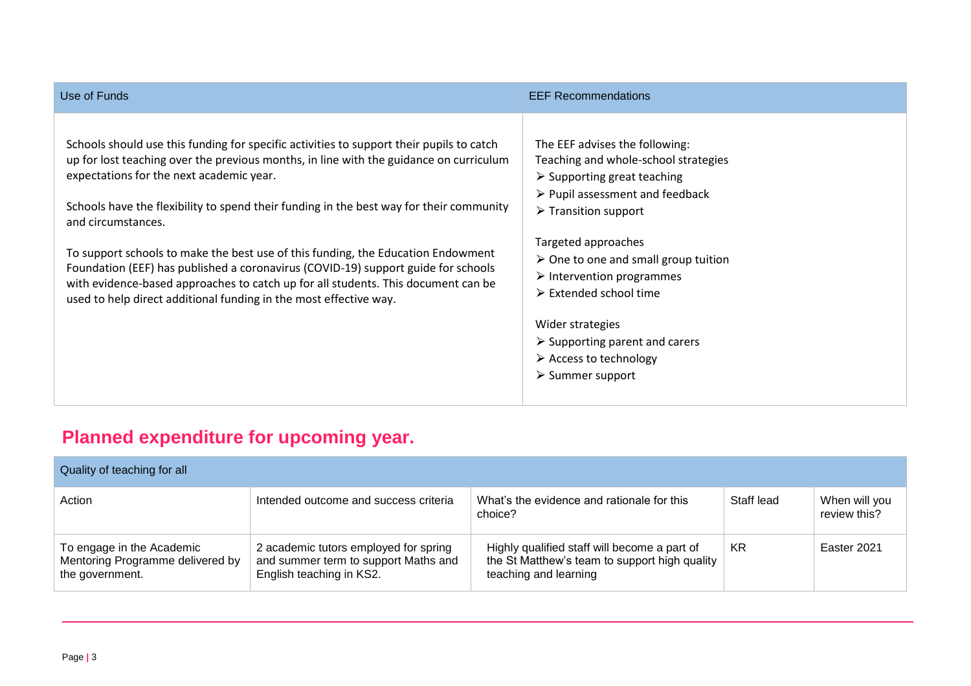| Use of Funds                                                                                                                                                                                                                                                                                                                                                                                                                                                                                                                                                                                                                                                                       | <b>EEF Recommendations</b>                                                                                                                                                                                                                                                                                                                                                                                                                                                                                                        |
|------------------------------------------------------------------------------------------------------------------------------------------------------------------------------------------------------------------------------------------------------------------------------------------------------------------------------------------------------------------------------------------------------------------------------------------------------------------------------------------------------------------------------------------------------------------------------------------------------------------------------------------------------------------------------------|-----------------------------------------------------------------------------------------------------------------------------------------------------------------------------------------------------------------------------------------------------------------------------------------------------------------------------------------------------------------------------------------------------------------------------------------------------------------------------------------------------------------------------------|
| Schools should use this funding for specific activities to support their pupils to catch<br>up for lost teaching over the previous months, in line with the guidance on curriculum<br>expectations for the next academic year.<br>Schools have the flexibility to spend their funding in the best way for their community<br>and circumstances.<br>To support schools to make the best use of this funding, the Education Endowment<br>Foundation (EEF) has published a coronavirus (COVID-19) support guide for schools<br>with evidence-based approaches to catch up for all students. This document can be<br>used to help direct additional funding in the most effective way. | The EEF advises the following:<br>Teaching and whole-school strategies<br>$\triangleright$ Supporting great teaching<br>$\triangleright$ Pupil assessment and feedback<br>$\triangleright$ Transition support<br>Targeted approaches<br>$\triangleright$ One to one and small group tuition<br>$\triangleright$ Intervention programmes<br>$\triangleright$ Extended school time<br>Wider strategies<br>$\triangleright$ Supporting parent and carers<br>$\triangleright$ Access to technology<br>$\triangleright$ Summer support |

# **Planned expenditure for upcoming year.**

| Quality of teaching for all                                                      |                                                                                                           |                                                                                                                        |            |                               |
|----------------------------------------------------------------------------------|-----------------------------------------------------------------------------------------------------------|------------------------------------------------------------------------------------------------------------------------|------------|-------------------------------|
| Action                                                                           | Intended outcome and success criteria                                                                     | What's the evidence and rationale for this<br>choice?                                                                  | Staff lead | When will you<br>review this? |
| To engage in the Academic<br>Mentoring Programme delivered by<br>the government. | 2 academic tutors employed for spring<br>and summer term to support Maths and<br>English teaching in KS2. | Highly qualified staff will become a part of<br>the St Matthew's team to support high quality<br>teaching and learning | KR         | Easter 2021                   |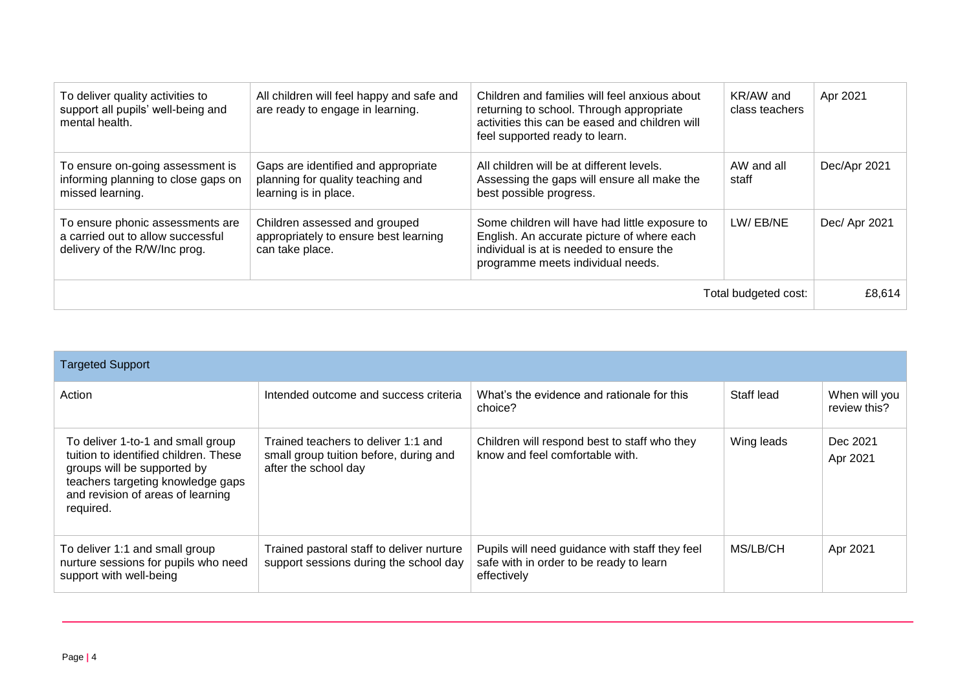| To deliver quality activities to<br>support all pupils' well-being and<br>mental health.               | All children will feel happy and safe and<br>are ready to engage in learning.                     | Children and families will feel anxious about<br>returning to school. Through appropriate<br>activities this can be eased and children will<br>feel supported ready to learn. | KR/AW and<br>class teachers | Apr 2021      |
|--------------------------------------------------------------------------------------------------------|---------------------------------------------------------------------------------------------------|-------------------------------------------------------------------------------------------------------------------------------------------------------------------------------|-----------------------------|---------------|
| To ensure on-going assessment is<br>informing planning to close gaps on<br>missed learning.            | Gaps are identified and appropriate<br>planning for quality teaching and<br>learning is in place. | All children will be at different levels.<br>Assessing the gaps will ensure all make the<br>best possible progress.                                                           | AW and all<br>staff         | Dec/Apr 2021  |
| To ensure phonic assessments are<br>a carried out to allow successful<br>delivery of the R/W/Inc prog. | Children assessed and grouped<br>appropriately to ensure best learning<br>can take place.         | Some children will have had little exposure to<br>English. An accurate picture of where each<br>individual is at is needed to ensure the<br>programme meets individual needs. | LW/EB/NE                    | Dec/ Apr 2021 |
|                                                                                                        |                                                                                                   |                                                                                                                                                                               | Total budgeted cost:        | £8,614        |

| <b>Targeted Support</b>                                                                                                                                                                          |                                                                                                       |                                                                                                          |            |                               |
|--------------------------------------------------------------------------------------------------------------------------------------------------------------------------------------------------|-------------------------------------------------------------------------------------------------------|----------------------------------------------------------------------------------------------------------|------------|-------------------------------|
| Action                                                                                                                                                                                           | Intended outcome and success criteria                                                                 | What's the evidence and rationale for this<br>choice?                                                    | Staff lead | When will you<br>review this? |
| To deliver 1-to-1 and small group<br>tuition to identified children. These<br>groups will be supported by<br>teachers targeting knowledge gaps<br>and revision of areas of learning<br>required. | Trained teachers to deliver 1:1 and<br>small group tuition before, during and<br>after the school day | Children will respond best to staff who they<br>know and feel comfortable with.                          | Wing leads | Dec 2021<br>Apr 2021          |
| To deliver 1:1 and small group<br>nurture sessions for pupils who need<br>support with well-being                                                                                                | Trained pastoral staff to deliver nurture<br>support sessions during the school day                   | Pupils will need guidance with staff they feel<br>safe with in order to be ready to learn<br>effectively | MS/LB/CH   | Apr 2021                      |